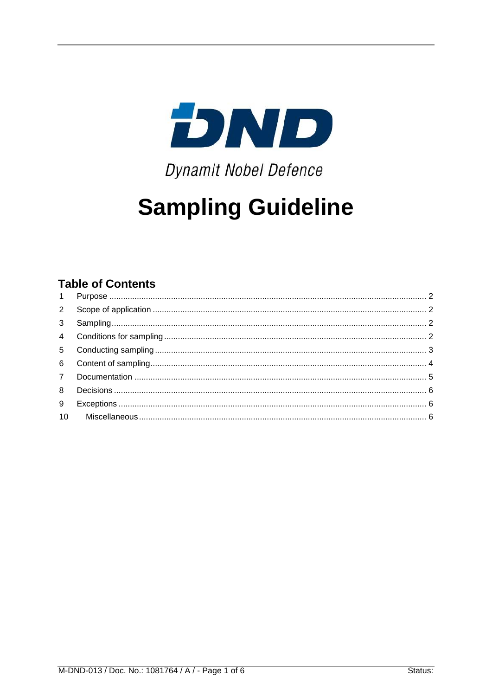

**Dynamit Nobel Defence** 

# **Sampling Guideline**

### **Table of Contents**

| $1 -$          |  |
|----------------|--|
|                |  |
| 3 <sup>7</sup> |  |
|                |  |
| 5 <sub>1</sub> |  |
| $6 \quad$      |  |
|                |  |
| 8              |  |
| 9              |  |
|                |  |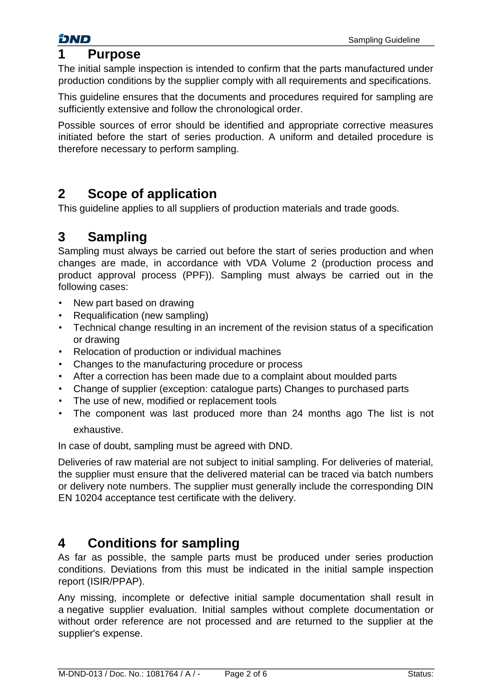## <span id="page-1-0"></span>**1 Purpose**

The initial sample inspection is intended to confirm that the parts manufactured under production conditions by the supplier comply with all requirements and specifications.

This guideline ensures that the documents and procedures required for sampling are sufficiently extensive and follow the chronological order.

Possible sources of error should be identified and appropriate corrective measures initiated before the start of series production. A uniform and detailed procedure is therefore necessary to perform sampling.

# <span id="page-1-1"></span>**2 Scope of application**

This guideline applies to all suppliers of production materials and trade goods.

# <span id="page-1-2"></span>**3 Sampling**

Sampling must always be carried out before the start of series production and when changes are made, in accordance with VDA Volume 2 (production process and product approval process (PPF)). Sampling must always be carried out in the following cases:

- New part based on drawing
- Requalification (new sampling)
- Technical change resulting in an increment of the revision status of a specification or drawing
- Relocation of production or individual machines
- Changes to the manufacturing procedure or process
- After a correction has been made due to a complaint about moulded parts
- Change of supplier (exception: catalogue parts) Changes to purchased parts
- The use of new, modified or replacement tools
- The component was last produced more than 24 months ago The list is not exhaustive.

In case of doubt, sampling must be agreed with DND.

Deliveries of raw material are not subject to initial sampling. For deliveries of material, the supplier must ensure that the delivered material can be traced via batch numbers or delivery note numbers. The supplier must generally include the corresponding DIN EN 10204 acceptance test certificate with the delivery.

## <span id="page-1-3"></span>**4 Conditions for sampling**

As far as possible, the sample parts must be produced under series production conditions. Deviations from this must be indicated in the initial sample inspection report (ISIR/PPAP).

Any missing, incomplete or defective initial sample documentation shall result in a negative supplier evaluation. Initial samples without complete documentation or without order reference are not processed and are returned to the supplier at the supplier's expense.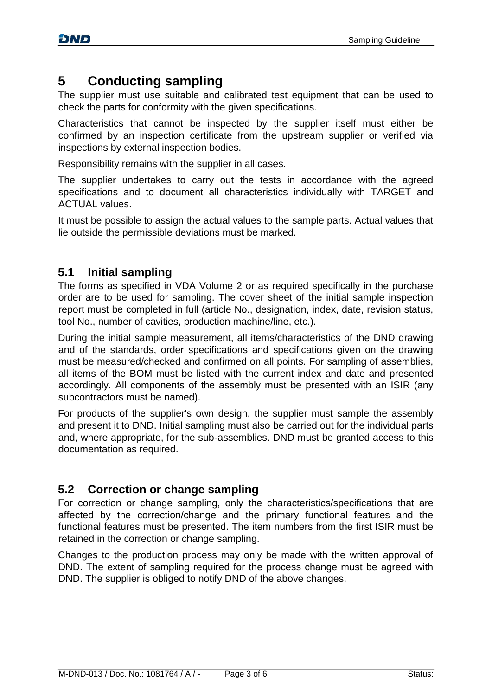# <span id="page-2-0"></span>**5 Conducting sampling**

The supplier must use suitable and calibrated test equipment that can be used to check the parts for conformity with the given specifications.

Characteristics that cannot be inspected by the supplier itself must either be confirmed by an inspection certificate from the upstream supplier or verified via inspections by external inspection bodies.

Responsibility remains with the supplier in all cases.

The supplier undertakes to carry out the tests in accordance with the agreed specifications and to document all characteristics individually with TARGET and ACTUAL values.

It must be possible to assign the actual values to the sample parts. Actual values that lie outside the permissible deviations must be marked.

### **5.1 Initial sampling**

The forms as specified in VDA Volume 2 or as required specifically in the purchase order are to be used for sampling. The cover sheet of the initial sample inspection report must be completed in full (article No., designation, index, date, revision status, tool No., number of cavities, production machine/line, etc.).

During the initial sample measurement, all items/characteristics of the DND drawing and of the standards, order specifications and specifications given on the drawing must be measured/checked and confirmed on all points. For sampling of assemblies, all items of the BOM must be listed with the current index and date and presented accordingly. All components of the assembly must be presented with an ISIR (any subcontractors must be named).

For products of the supplier's own design, the supplier must sample the assembly and present it to DND. Initial sampling must also be carried out for the individual parts and, where appropriate, for the sub-assemblies. DND must be granted access to this documentation as required.

### **5.2 Correction or change sampling**

For correction or change sampling, only the characteristics/specifications that are affected by the correction/change and the primary functional features and the functional features must be presented. The item numbers from the first ISIR must be retained in the correction or change sampling.

Changes to the production process may only be made with the written approval of DND. The extent of sampling required for the process change must be agreed with DND. The supplier is obliged to notify DND of the above changes.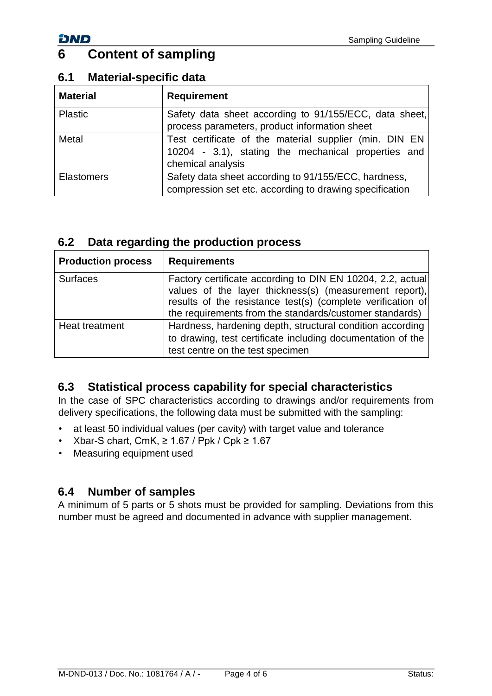# <span id="page-3-0"></span>**6 Content of sampling**

| <b>Material</b>   | <b>Requirement</b>                                                                                                                 |
|-------------------|------------------------------------------------------------------------------------------------------------------------------------|
| Plastic           | Safety data sheet according to 91/155/ECC, data sheet,<br>process parameters, product information sheet                            |
| Metal             | Test certificate of the material supplier (min. DIN EN<br>10204 - 3.1), stating the mechanical properties and<br>chemical analysis |
| <b>Elastomers</b> | Safety data sheet according to 91/155/ECC, hardness,<br>compression set etc. according to drawing specification                    |

#### **6.1 Material-specific data**

### **6.2 Data regarding the production process**

| <b>Production process</b> | <b>Requirements</b>                                                                                                                                                                                                                            |
|---------------------------|------------------------------------------------------------------------------------------------------------------------------------------------------------------------------------------------------------------------------------------------|
| <b>Surfaces</b>           | Factory certificate according to DIN EN 10204, 2.2, actual<br>values of the layer thickness(s) (measurement report),<br>results of the resistance test(s) (complete verification of<br>the requirements from the standards/customer standards) |
| Heat treatment            | Hardness, hardening depth, structural condition according<br>to drawing, test certificate including documentation of the<br>test centre on the test specimen                                                                                   |

### **6.3 Statistical process capability for special characteristics**

In the case of SPC characteristics according to drawings and/or requirements from delivery specifications, the following data must be submitted with the sampling:

- at least 50 individual values (per cavity) with target value and tolerance
- Xbar-S chart, CmK,  $\geq 1.67$  / Ppk / Cpk  $\geq 1.67$
- Measuring equipment used

### **6.4 Number of samples**

A minimum of 5 parts or 5 shots must be provided for sampling. Deviations from this number must be agreed and documented in advance with supplier management.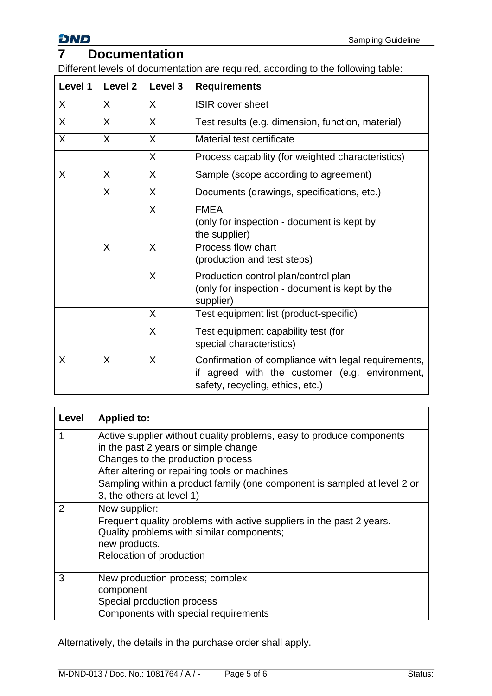### <span id="page-4-0"></span>**7 Documentation**

Different levels of documentation are required, according to the following table:

| Level 1 | Level <sub>2</sub> | Level 3 | <b>Requirements</b>                                                                                                                          |
|---------|--------------------|---------|----------------------------------------------------------------------------------------------------------------------------------------------|
| X       | X                  | X       | <b>ISIR cover sheet</b>                                                                                                                      |
| X       | X                  | X       | Test results (e.g. dimension, function, material)                                                                                            |
| X       | X                  | X       | Material test certificate                                                                                                                    |
|         |                    | X       | Process capability (for weighted characteristics)                                                                                            |
| X       | X                  | X       | Sample (scope according to agreement)                                                                                                        |
|         | X                  | X       | Documents (drawings, specifications, etc.)                                                                                                   |
|         |                    | X       | <b>FMEA</b><br>(only for inspection - document is kept by<br>the supplier)                                                                   |
|         | X                  | X       | Process flow chart<br>(production and test steps)                                                                                            |
|         |                    | X       | Production control plan/control plan<br>(only for inspection - document is kept by the<br>supplier)                                          |
|         |                    | X       | Test equipment list (product-specific)                                                                                                       |
|         |                    | X       | Test equipment capability test (for<br>special characteristics)                                                                              |
| X       | X                  | X       | Confirmation of compliance with legal requirements,<br>agreed with the customer (e.g. environment,<br>if<br>safety, recycling, ethics, etc.) |

| Level | <b>Applied to:</b>                                                                                                                                                                                                                                                                                          |
|-------|-------------------------------------------------------------------------------------------------------------------------------------------------------------------------------------------------------------------------------------------------------------------------------------------------------------|
|       | Active supplier without quality problems, easy to produce components<br>in the past 2 years or simple change<br>Changes to the production process<br>After altering or repairing tools or machines<br>Sampling within a product family (one component is sampled at level 2 or<br>3, the others at level 1) |
|       | New supplier:<br>Frequent quality problems with active suppliers in the past 2 years.<br>Quality problems with similar components;<br>new products.<br>Relocation of production                                                                                                                             |
| 3     | New production process; complex<br>component<br>Special production process<br>Components with special requirements                                                                                                                                                                                          |

Alternatively, the details in the purchase order shall apply.